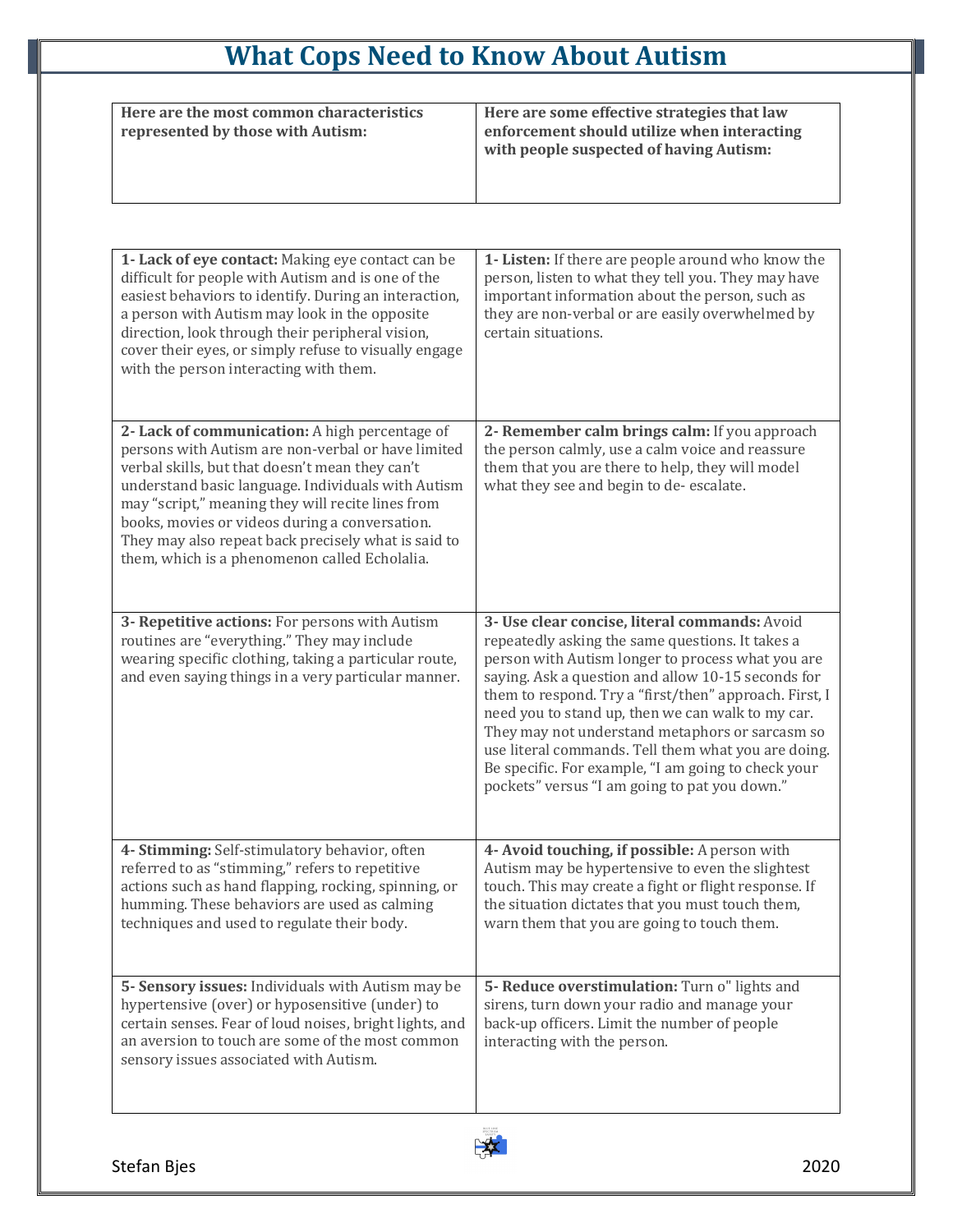## **What Cops Need to Know About Autism**

| Here are the most common characteristics<br>represented by those with Autism: | Here are some effective strategies that law<br>enforcement should utilize when interacting<br>with people suspected of having Autism: |
|-------------------------------------------------------------------------------|---------------------------------------------------------------------------------------------------------------------------------------|

| 1- Lack of eye contact: Making eye contact can be<br>difficult for people with Autism and is one of the<br>easiest behaviors to identify. During an interaction,<br>a person with Autism may look in the opposite<br>direction, look through their peripheral vision,<br>cover their eyes, or simply refuse to visually engage<br>with the person interacting with them.                                                     | 1- Listen: If there are people around who know the<br>person, listen to what they tell you. They may have<br>important information about the person, such as<br>they are non-verbal or are easily overwhelmed by<br>certain situations.                                                                                                                                                                                                                                                                                                       |
|------------------------------------------------------------------------------------------------------------------------------------------------------------------------------------------------------------------------------------------------------------------------------------------------------------------------------------------------------------------------------------------------------------------------------|-----------------------------------------------------------------------------------------------------------------------------------------------------------------------------------------------------------------------------------------------------------------------------------------------------------------------------------------------------------------------------------------------------------------------------------------------------------------------------------------------------------------------------------------------|
| 2- Lack of communication: A high percentage of<br>persons with Autism are non-verbal or have limited<br>verbal skills, but that doesn't mean they can't<br>understand basic language. Individuals with Autism<br>may "script," meaning they will recite lines from<br>books, movies or videos during a conversation.<br>They may also repeat back precisely what is said to<br>them, which is a phenomenon called Echolalia. | 2- Remember calm brings calm: If you approach<br>the person calmly, use a calm voice and reassure<br>them that you are there to help, they will model<br>what they see and begin to de-escalate.                                                                                                                                                                                                                                                                                                                                              |
| 3- Repetitive actions: For persons with Autism<br>routines are "everything." They may include<br>wearing specific clothing, taking a particular route,<br>and even saying things in a very particular manner.                                                                                                                                                                                                                | 3- Use clear concise, literal commands: Avoid<br>repeatedly asking the same questions. It takes a<br>person with Autism longer to process what you are<br>saying. Ask a question and allow 10-15 seconds for<br>them to respond. Try a "first/then" approach. First, I<br>need you to stand up, then we can walk to my car.<br>They may not understand metaphors or sarcasm so<br>use literal commands. Tell them what you are doing.<br>Be specific. For example, "I am going to check your<br>pockets" versus "I am going to pat you down." |
| 4- Stimming: Self-stimulatory behavior, often<br>referred to as "stimming," refers to repetitive<br>actions such as hand flapping, rocking, spinning, or<br>humming. These behaviors are used as calming<br>techniques and used to regulate their body.                                                                                                                                                                      | 4- Avoid touching, if possible: A person with<br>Autism may be hypertensive to even the slightest<br>touch. This may create a fight or flight response. If<br>the situation dictates that you must touch them,<br>warn them that you are going to touch them.                                                                                                                                                                                                                                                                                 |
| 5- Sensory issues: Individuals with Autism may be<br>hypertensive (over) or hyposensitive (under) to<br>certain senses. Fear of loud noises, bright lights, and<br>an aversion to touch are some of the most common<br>sensory issues associated with Autism.                                                                                                                                                                | 5- Reduce overstimulation: Turn o" lights and<br>sirens, turn down your radio and manage your<br>back-up officers. Limit the number of people<br>interacting with the person.                                                                                                                                                                                                                                                                                                                                                                 |